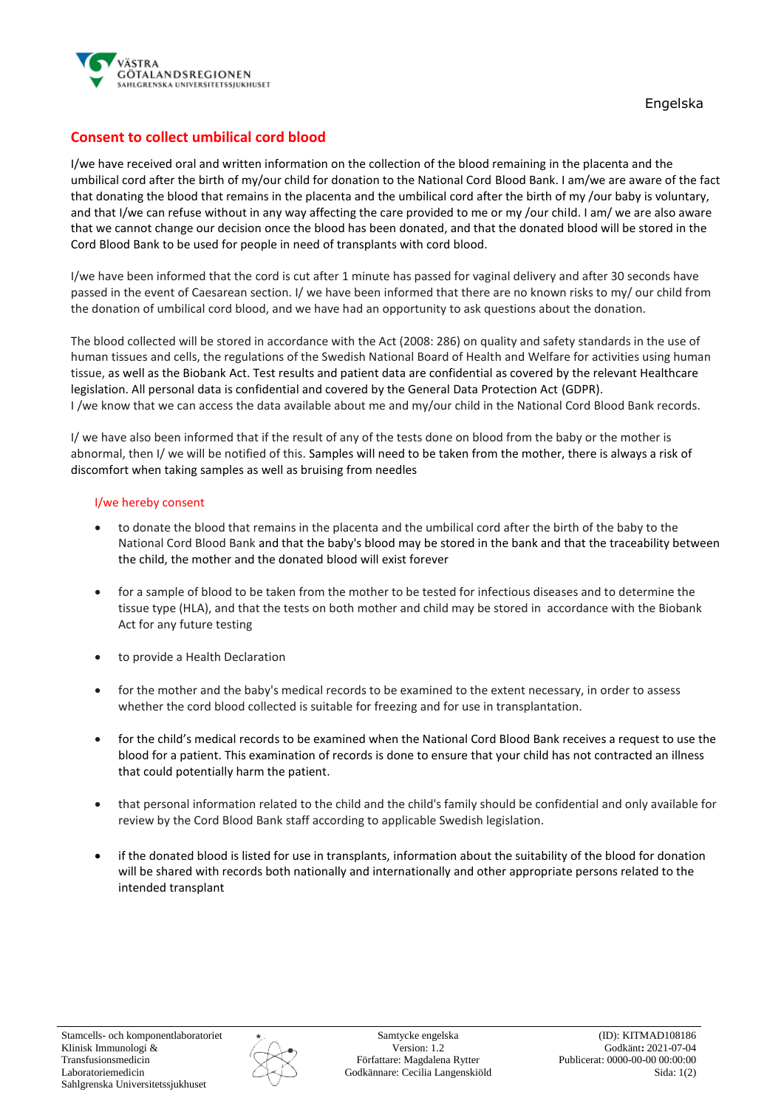

## **Consent to collect umbilical cord blood**

I/we have received oral and written information on the collection of the blood remaining in the placenta and the umbilical cord after the birth of my/our child for donation to the National Cord Blood Bank. I am/we are aware of the fact that donating the blood that remains in the placenta and the umbilical cord after the birth of my /our baby is voluntary, and that I/we can refuse without in any way affecting the care provided to me or my /our child. I am/ we are also aware that we cannot change our decision once the blood has been donated, and that the donated blood will be stored in the Cord Blood Bank to be used for people in need of transplants with cord blood.

I/we have been informed that the cord is cut after 1 minute has passed for vaginal delivery and after 30 seconds have passed in the event of Caesarean section. I/ we have been informed that there are no known risks to my/ our child from the donation of umbilical cord blood, and we have had an opportunity to ask questions about the donation.

The blood collected will be stored in accordance with the Act (2008: 286) on quality and safety standards in the use of human tissues and cells, the regulations of the Swedish National Board of Health and Welfare for activities using human tissue, as well as the Biobank Act. Test results and patient data are confidential as covered by the relevant Healthcare legislation. All personal data is confidential and covered by the General Data Protection Act (GDPR). I /we know that we can access the data available about me and my/our child in the National Cord Blood Bank records.

I/ we have also been informed that if the result of any of the tests done on blood from the baby or the mother is abnormal, then I/ we will be notified of this. Samples will need to be taken from the mother, there is always a risk of discomfort when taking samples as well as bruising from needles

## I/we hereby consent

- to donate the blood that remains in the placenta and the umbilical cord after the birth of the baby to the National Cord Blood Bank and that the baby's blood may be stored in the bank and that the traceability between the child, the mother and the donated blood will exist forever
- for a sample of blood to be taken from the mother to be tested for infectious diseases and to determine the tissue type (HLA), and that the tests on both mother and child may be stored in accordance with the Biobank Act for any future testing
- to provide a Health Declaration
- for the mother and the baby's medical records to be examined to the extent necessary, in order to assess whether the cord blood collected is suitable for freezing and for use in transplantation.
- for the child's medical records to be examined when the National Cord Blood Bank receives a request to use the blood for a patient. This examination of records is done to ensure that your child has not contracted an illness that could potentially harm the patient.
- that personal information related to the child and the child's family should be confidential and only available for review by the Cord Blood Bank staff according to applicable Swedish legislation.
- if the donated blood is listed for use in transplants, information about the suitability of the blood for donation will be shared with records both nationally and internationally and other appropriate persons related to the intended transplant